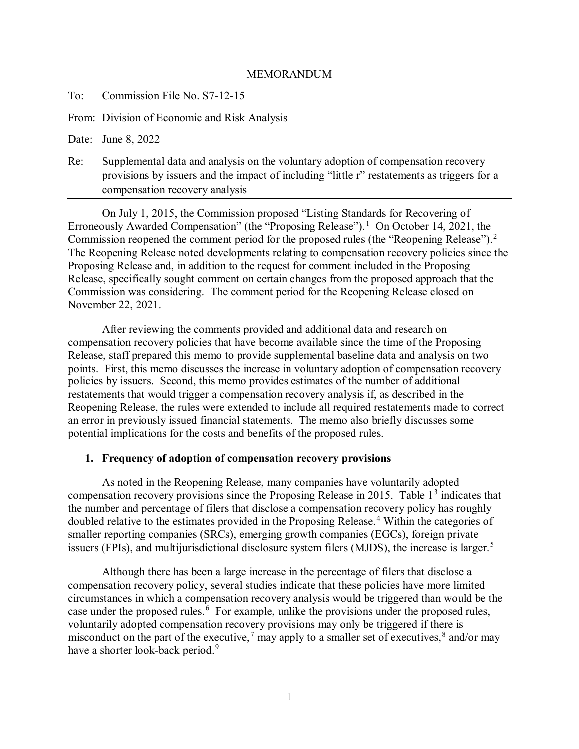## MEMORANDUM

To: Commission File No. S7-12-15

From: Division of Economic and Risk Analysis

Date: June 8, 2022

Re: Supplemental data and analysis on the voluntary adoption of compensation recovery provisions by issuers and the impact of including "little r" restatements as triggers for a compensation recovery analysis

On July 1, 2015, the Commission proposed "Listing Standards for Recovering of Erroneously Awarded Compensation" (the "Proposing Release").<sup>[1](#page-4-0)</sup> On October 14, 2021, the Commission reopened the comment period for the proposed rules (the "Reopening Release").<sup>[2](#page-4-1)</sup> The Reopening Release noted developments relating to compensation recovery policies since the Proposing Release and, in addition to the request for comment included in the Proposing Release, specifically sought comment on certain changes from the proposed approach that the Commission was considering. The comment period for the Reopening Release closed on November 22, 2021.

After reviewing the comments provided and additional data and research on compensation recovery policies that have become available since the time of the Proposing Release, staff prepared this memo to provide supplemental baseline data and analysis on two points. First, this memo discusses the increase in voluntary adoption of compensation recovery policies by issuers. Second, this memo provides estimates of the number of additional restatements that would trigger a compensation recovery analysis if, as described in the Reopening Release, the rules were extended to include all required restatements made to correct an error in previously issued financial statements. The memo also briefly discusses some potential implications for the costs and benefits of the proposed rules.

## **1. Frequency of adoption of compensation recovery provisions**

As noted in the Reopening Release, many companies have voluntarily adopted compensation recovery provisions since the Proposing Release in 2015. Table  $1<sup>3</sup>$  $1<sup>3</sup>$  $1<sup>3</sup>$  indicates that the number and percentage of filers that disclose a compensation recovery policy has roughly doubled relative to the estimates provided in the Proposing Release. [4](#page-4-3) Within the categories of smaller reporting companies (SRCs), emerging growth companies (EGCs), foreign private issuers (FPIs), and multijurisdictional disclosure system filers (MJDS), the increase is larger.<sup>[5](#page-4-4)</sup>

Although there has been a large increase in the percentage of filers that disclose a compensation recovery policy, several studies indicate that these policies have more limited circumstances in which a compensation recovery analysis would be triggered than would be the case under the proposed rules.<sup>[6](#page-4-5)</sup> For example, unlike the provisions under the proposed rules, voluntarily adopted compensation recovery provisions may only be triggered if there is misconduct on the part of the executive,<sup>[7](#page-5-0)</sup> may apply to a smaller set of executives,<sup>[8](#page-5-1)</sup> and/or may have a shorter look-back period.<sup>[9](#page-5-2)</sup>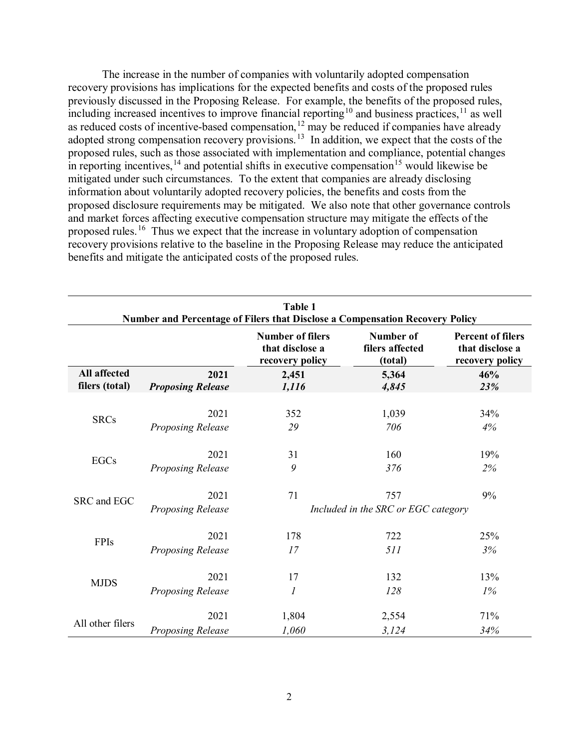The increase in the number of companies with voluntarily adopted compensation recovery provisions has implications for the expected benefits and costs of the proposed rules previously discussed in the Proposing Release. For example, the benefits of the proposed rules, including increased incentives to improve financial reporting<sup>[10](#page-5-3)</sup> and business practices,<sup>[11](#page-5-4)</sup> as well as reduced costs of incentive-based compensation,<sup>[12](#page-6-0)</sup> may be reduced if companies have already adopted strong compensation recovery provisions.<sup>[13](#page-6-1)</sup> In addition, we expect that the costs of the proposed rules, such as those associated with implementation and compliance, potential changes in reporting incentives,  $14$  and potential shifts in executive compensation  $15$  would likewise be mitigated under such circumstances. To the extent that companies are already disclosing information about voluntarily adopted recovery policies, the benefits and costs from the proposed disclosure requirements may be mitigated. We also note that other governance controls and market forces affecting executive compensation structure may mitigate the effects of the proposed rules.<sup>[16](#page-7-1)</sup> Thus we expect that the increase in voluntary adoption of compensation recovery provisions relative to the baseline in the Proposing Release may reduce the anticipated benefits and mitigate the anticipated costs of the proposed rules.

| Table 1<br>Number and Percentage of Filers that Disclose a Compensation Recovery Policy |                          |                                                               |                                         |                                                                |  |  |  |  |  |
|-----------------------------------------------------------------------------------------|--------------------------|---------------------------------------------------------------|-----------------------------------------|----------------------------------------------------------------|--|--|--|--|--|
|                                                                                         |                          | <b>Number of filers</b><br>that disclose a<br>recovery policy | Number of<br>filers affected<br>(total) | <b>Percent of filers</b><br>that disclose a<br>recovery policy |  |  |  |  |  |
| <b>All affected</b>                                                                     | 2021                     | 2,451                                                         | 5,364                                   | 46%                                                            |  |  |  |  |  |
| filers (total)                                                                          | <b>Proposing Release</b> | 1,116                                                         | 4,845                                   | 23%                                                            |  |  |  |  |  |
| <b>SRCs</b>                                                                             | 2021                     | 352                                                           | 1,039                                   | 34%                                                            |  |  |  |  |  |
|                                                                                         | Proposing Release        | 29                                                            | 706                                     | 4%                                                             |  |  |  |  |  |
| <b>EGCs</b>                                                                             | 2021                     | 31                                                            | 160                                     | 19%                                                            |  |  |  |  |  |
|                                                                                         | Proposing Release        | 9                                                             | 376                                     | 2%                                                             |  |  |  |  |  |
| SRC and EGC                                                                             | 2021                     | 71                                                            | 757                                     | 9%                                                             |  |  |  |  |  |
|                                                                                         | Proposing Release        | Included in the SRC or EGC category                           |                                         |                                                                |  |  |  |  |  |
| <b>FPIs</b>                                                                             | 2021                     | 178                                                           | 722                                     | 25%                                                            |  |  |  |  |  |
|                                                                                         | Proposing Release        | 17                                                            | 511                                     | 3%                                                             |  |  |  |  |  |
| <b>MJDS</b>                                                                             | 2021                     | 17                                                            | 132                                     | 13%                                                            |  |  |  |  |  |
|                                                                                         | Proposing Release        | $\boldsymbol{l}$                                              | 128                                     | $1\%$                                                          |  |  |  |  |  |
| All other filers                                                                        | 2021                     | 1,804                                                         | 2,554                                   | 71%                                                            |  |  |  |  |  |
|                                                                                         | Proposing Release        | 1,060                                                         | 3,124                                   | 34%                                                            |  |  |  |  |  |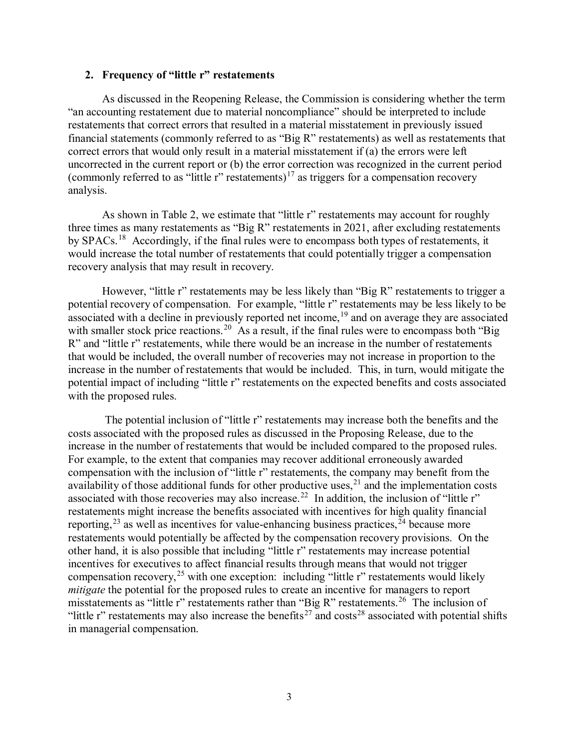## **2. Frequency of "little r" restatements**

As discussed in the Reopening Release, the Commission is considering whether the term "an accounting restatement due to material noncompliance" should be interpreted to include restatements that correct errors that resulted in a material misstatement in previously issued financial statements (commonly referred to as "Big R" restatements) as well as restatements that correct errors that would only result in a material misstatement if (a) the errors were left uncorrected in the current report or (b) the error correction was recognized in the current period (commonly referred to as "little r" restatements)<sup>[17](#page-7-2)</sup> as triggers for a compensation recovery analysis.

As shown in Table 2, we estimate that "little r" restatements may account for roughly three times as many restatements as "Big R" restatements in 2021, after excluding restatements by SPACs.<sup>[18](#page-7-3)</sup> Accordingly, if the final rules were to encompass both types of restatements, it would increase the total number of restatements that could potentially trigger a compensation recovery analysis that may result in recovery.

However, "little r" restatements may be less likely than "Big R" restatements to trigger a potential recovery of compensation. For example, "little r" restatements may be less likely to be associated with a decline in previously reported net income, <sup>[19](#page-7-4)</sup> and on average they are associated with smaller stock price reactions.<sup>[20](#page-8-0)</sup> As a result, if the final rules were to encompass both "Big R" and "little r" restatements, while there would be an increase in the number of restatements that would be included, the overall number of recoveries may not increase in proportion to the increase in the number of restatements that would be included. This, in turn, would mitigate the potential impact of including "little r" restatements on the expected benefits and costs associated with the proposed rules.

The potential inclusion of "little r" restatements may increase both the benefits and the costs associated with the proposed rules as discussed in the Proposing Release, due to the increase in the number of restatements that would be included compared to the proposed rules. For example, to the extent that companies may recover additional erroneously awarded compensation with the inclusion of "little r" restatements, the company may benefit from the availability of those additional funds for other productive uses,  $21$  and the implementation costs associated with those recoveries may also increase.<sup>[22](#page-8-2)</sup> In addition, the inclusion of "little r" restatements might increase the benefits associated with incentives for high quality financial reporting,  $23$  as well as incentives for value-enhancing business practices,  $24$  because more restatements would potentially be affected by the compensation recovery provisions. On the other hand, it is also possible that including "little r" restatements may increase potential incentives for executives to affect financial results through means that would not trigger compensation recovery,<sup>[25](#page-8-5)</sup> with one exception: including "little r" restatements would likely *mitigate* the potential for the proposed rules to create an incentive for managers to report misstatements as "little r" restatements rather than "Big R" restatements.<sup>26</sup> The inclusion of "little r" restatements may also increase the benefits<sup>[27](#page-8-7)</sup> and costs<sup>[28](#page-8-8)</sup> associated with potential shifts in managerial compensation.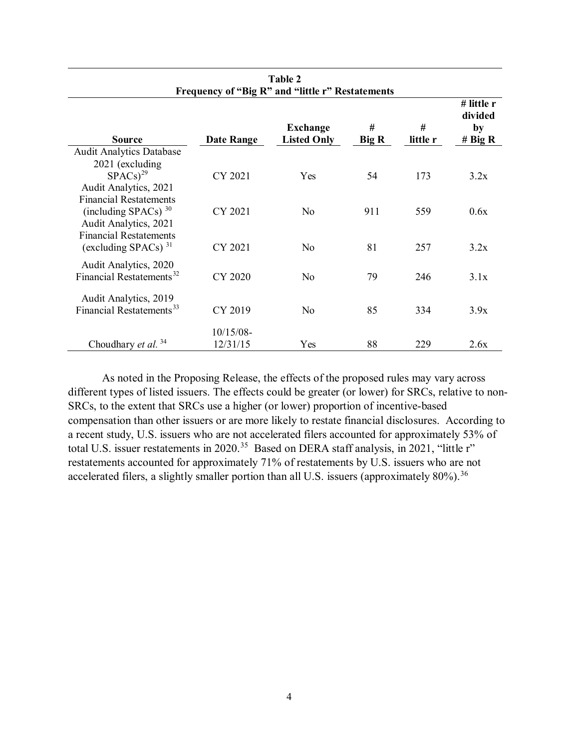| Frequency of "Big R" and "little r" Restatements       |                   |                                       |            |               |                                          |  |  |  |
|--------------------------------------------------------|-------------------|---------------------------------------|------------|---------------|------------------------------------------|--|--|--|
| <b>Source</b>                                          | <b>Date Range</b> | <b>Exchange</b><br><b>Listed Only</b> | #<br>Big R | #<br>little r | # little r<br>divided<br>by<br># Big $R$ |  |  |  |
| <b>Audit Analytics Database</b>                        |                   |                                       |            |               |                                          |  |  |  |
| 2021 (excluding                                        |                   |                                       |            |               |                                          |  |  |  |
| $SPACS$ <sup>29</sup>                                  | CY 2021           | <b>Yes</b>                            | 54         | 173           | 3.2x                                     |  |  |  |
| Audit Analytics, 2021                                  |                   |                                       |            |               |                                          |  |  |  |
| <b>Financial Restatements</b>                          |                   |                                       |            |               |                                          |  |  |  |
| (including SPACs) $30$                                 | CY 2021           | No                                    | 911        | 559           | 0.6x                                     |  |  |  |
| Audit Analytics, 2021<br><b>Financial Restatements</b> |                   |                                       |            |               |                                          |  |  |  |
| (excluding SPACs) $31$                                 | CY 2021           | No.                                   | 81         | 257           | 3.2x                                     |  |  |  |
|                                                        |                   |                                       |            |               |                                          |  |  |  |
| Audit Analytics, 2020                                  |                   |                                       |            |               |                                          |  |  |  |
| Financial Restatements <sup>32</sup>                   | CY 2020           | No.                                   | 79         | 246           | 3.1x                                     |  |  |  |
| Audit Analytics, 2019                                  |                   |                                       |            |               |                                          |  |  |  |
| Financial Restatements <sup>33</sup>                   | CY 2019           | No                                    | 85         | 334           | 3.9x                                     |  |  |  |
|                                                        |                   |                                       |            |               |                                          |  |  |  |
|                                                        | $10/15/08$ -      |                                       |            |               |                                          |  |  |  |
| Choudhary et al. <sup>34</sup>                         | 12/31/15          | Yes                                   | 88         | 229           | 2.6x                                     |  |  |  |

**Table 2**

As noted in the Proposing Release, the effects of the proposed rules may vary across different types of listed issuers. The effects could be greater (or lower) for SRCs, relative to non-SRCs, to the extent that SRCs use a higher (or lower) proportion of incentive-based compensation than other issuers or are more likely to restate financial disclosures. According to a recent study, U.S. issuers who are not accelerated filers accounted for approximately 53% of total U.S. issuer restatements in 2020.<sup>35</sup> Based on DERA staff analysis, in 2021, "little r" restatements accounted for approximately 71% of restatements by U.S. issuers who are not accelerated filers, a slightly smaller portion than all U.S. issuers (approximately  $80\%$ ).<sup>[36](#page-8-16)</sup>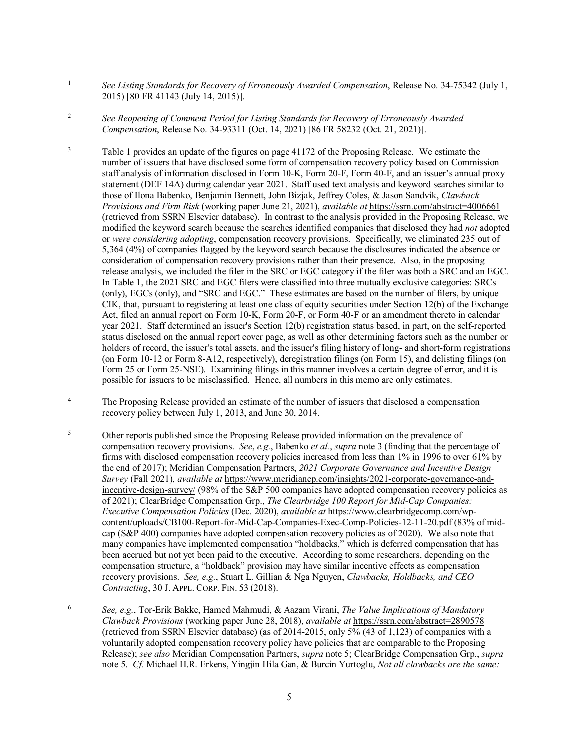<span id="page-4-1"></span>2 *See Reopening of Comment Period for Listing Standards for Recovery of Erroneously Awarded Compensation*, Release No. 34-93311 (Oct. 14, 2021) [86 FR 58232 (Oct. 21, 2021)].

<span id="page-4-2"></span>3 Table 1 provides an update of the figures on page 41172 of the Proposing Release. We estimate the number of issuers that have disclosed some form of compensation recovery policy based on Commission staff analysis of information disclosed in Form 10-K, Form 20-F, Form 40-F, and an issuer's annual proxy statement (DEF 14A) during calendar year 2021. Staff used text analysis and keyword searches similar to those of Ilona Babenko, Benjamin Bennett, John Bizjak, Jeffrey Coles, & Jason Sandvik, *Clawback Provisions and Firm Risk* (working paper June 21, 2021), *available at* <https://ssrn.com/abstract=4006661> (retrieved from SSRN Elsevier database). In contrast to the analysis provided in the Proposing Release, we modified the keyword search because the searches identified companies that disclosed they had *not* adopted or *were considering adopting*, compensation recovery provisions. Specifically, we eliminated 235 out of 5,364 (4%) of companies flagged by the keyword search because the disclosures indicated the absence or consideration of compensation recovery provisions rather than their presence. Also, in the proposing release analysis, we included the filer in the SRC or EGC category if the filer was both a SRC and an EGC. In Table 1, the 2021 SRC and EGC filers were classified into three mutually exclusive categories: SRCs (only), EGCs (only), and "SRC and EGC." These estimates are based on the number of filers, by unique CIK, that, pursuant to registering at least one class of equity securities under Section 12(b) of the Exchange Act, filed an annual report on Form 10-K, Form 20-F, or Form 40-F or an amendment thereto in calendar year 2021. Staff determined an issuer's Section 12(b) registration status based, in part, on the self-reported status disclosed on the annual report cover page, as well as other determining factors such as the number or holders of record, the issuer's total assets, and the issuer's filing history of long- and short-form registrations (on Form 10-12 or Form 8-A12, respectively), deregistration filings (on Form 15), and delisting filings (on Form 25 or Form 25-NSE). Examining filings in this manner involves a certain degree of error, and it is possible for issuers to be misclassified. Hence, all numbers in this memo are only estimates.

<span id="page-4-3"></span>4 The Proposing Release provided an estimate of the number of issuers that disclosed a compensation recovery policy between July 1, 2013, and June 30, 2014.

- <span id="page-4-4"></span>5 Other reports published since the Proposing Release provided information on the prevalence of compensation recovery provisions. *See*, *e.g.*, Babenko *et al.*, *supra* note 3 (finding that the percentage of firms with disclosed compensation recovery policies increased from less than 1% in 1996 to over 61% by the end of 2017); Meridian Compensation Partners, *2021 Corporate Governance and Incentive Design Survey* (Fall 2021), *available at* [https://www.meridiancp.com/insights/2021-corporate-governance-and](https://www.meridiancp.com/insights/2021-corporate-governance-and-incentive-design-survey/)[incentive-design-survey/](https://www.meridiancp.com/insights/2021-corporate-governance-and-incentive-design-survey/) (98% of the S&P 500 companies have adopted compensation recovery policies as of 2021); ClearBridge Compensation Grp., *The Clearbridge 100 Report for Mid-Cap Companies: Executive Compensation Policies* (Dec. 2020), *available at* [https://www.clearbridgecomp.com/wp](https://www.clearbridgecomp.com/wp-content/uploads/CB100-Report-for-Mid-Cap-Companies-Exec-Comp-Policies-12-11-20.pdf)[content/uploads/CB100-Report-for-Mid-Cap-Companies-Exec-Comp-Policies-12-11-20.pdf](https://www.clearbridgecomp.com/wp-content/uploads/CB100-Report-for-Mid-Cap-Companies-Exec-Comp-Policies-12-11-20.pdf) (83% of midcap (S&P 400) companies have adopted compensation recovery policies as of 2020). We also note that many companies have implemented compensation "holdbacks," which is deferred compensation that has been accrued but not yet been paid to the executive. According to some researchers, depending on the compensation structure, a "holdback" provision may have similar incentive effects as compensation recovery provisions. *See, e.g.*, Stuart L. Gillian & Nga Nguyen, *Clawbacks, Holdbacks, and CEO Contracting*, 30 J. APPL. CORP. FIN. 53 (2018).
- <span id="page-4-5"></span>6 *See, e.g.*, Tor-Erik Bakke, Hamed Mahmudi, & Aazam Virani, *The Value Implications of Mandatory Clawback Provisions* (working paper June 28, 2018), *available at* <https://ssrn.com/abstract=2890578> (retrieved from SSRN Elsevier database) (as of 2014-2015, only 5% (43 of 1,123) of companies with a voluntarily adopted compensation recovery policy have policies that are comparable to the Proposing Release); *see also* Meridian Compensation Partners, *supra* note 5; ClearBridge Compensation Grp., *supra* note 5. *Cf.* Michael H.R. Erkens, Yingjin Hila Gan, & Burcin Yurtoglu, *Not all clawbacks are the same:*

<span id="page-4-0"></span> $\frac{1}{1}$  *See Listing Standards for Recovery of Erroneously Awarded Compensation*, Release No. 34-75342 (July 1, 2015) [80 FR 41143 (July 14, 2015)].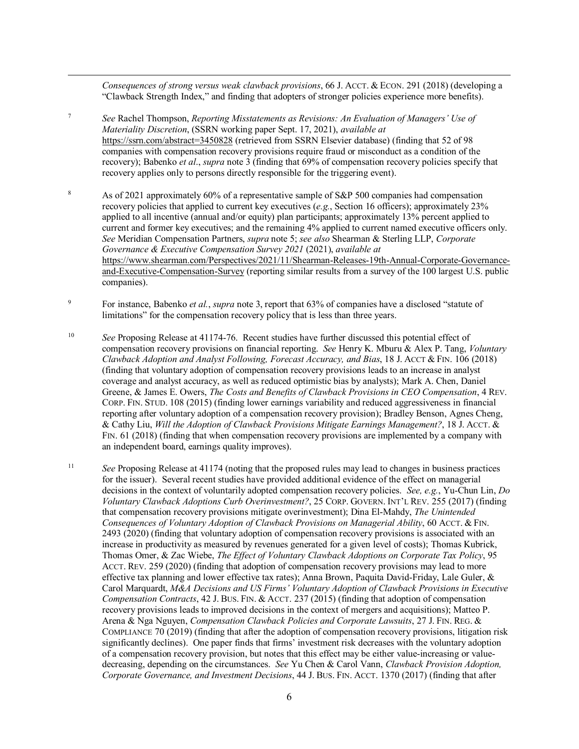*Consequences of strong versus weak clawback provisions*, 66 J. ACCT. & ECON. 291 (2018) (developing a "Clawback Strength Index," and finding that adopters of stronger policies experience more benefits).

<span id="page-5-0"></span>7 *See* Rachel Thompson, *Reporting Misstatements as Revisions: An Evaluation of Managers' Use of Materiality Discretion*, (SSRN working paper Sept. 17, 2021), *available at* <https://ssrn.com/abstract=3450828> (retrieved from SSRN Elsevier database) (finding that 52 of 98 companies with compensation recovery provisions require fraud or misconduct as a condition of the recovery); Babenko *et al*., *supra* note 3 (finding that 69% of compensation recovery policies specify that recovery applies only to persons directly responsible for the triggering event).

<u>.</u>

- <span id="page-5-1"></span>8 As of 2021 approximately 60% of a representative sample of S&P 500 companies had compensation recovery policies that applied to current key executives (*e.g.*, Section 16 officers); approximately 23% applied to all incentive (annual and/or equity) plan participants; approximately 13% percent applied to current and former key executives; and the remaining 4% applied to current named executive officers only. *See* Meridian Compensation Partners, *supra* note 5; *see also* Shearman & Sterling LLP, *Corporate Governance & Executive Compensation Survey 2021* (2021), *available at*  [https://www.shearman.com/Perspectives/2021/11/Shearman-Releases-19th-Annual-Corporate-Governance](https://www.shearman.com/Perspectives/2021/11/Shearman-Releases-19th-Annual-Corporate-Governance-and-Executive-Compensation-Survey)[and-Executive-Compensation-Survey](https://www.shearman.com/Perspectives/2021/11/Shearman-Releases-19th-Annual-Corporate-Governance-and-Executive-Compensation-Survey) (reporting similar results from a survey of the 100 largest U.S. public companies).
- <span id="page-5-2"></span>9 For instance, Babenko *et al.*, *supra* note 3, report that 63% of companies have a disclosed "statute of limitations" for the compensation recovery policy that is less than three years.
- <span id="page-5-3"></span>10 *See* Proposing Release at 41174-76. Recent studies have further discussed this potential effect of compensation recovery provisions on financial reporting. *See* Henry K. Mburu & Alex P. Tang, *Voluntary Clawback Adoption and Analyst Following, Forecast Accuracy, and Bias*, 18 J. ACCT & FIN. 106 (2018) (finding that voluntary adoption of compensation recovery provisions leads to an increase in analyst coverage and analyst accuracy, as well as reduced optimistic bias by analysts); Mark A. Chen, Daniel Greene, & James E. Owers, *The Costs and Benefits of Clawback Provisions in CEO Compensation*, 4 REV. CORP. FIN. STUD. 108 (2015) (finding lower earnings variability and reduced aggressiveness in financial reporting after voluntary adoption of a compensation recovery provision); Bradley Benson, Agnes Cheng, & Cathy Liu, *Will the Adoption of Clawback Provisions Mitigate Earnings Management?*, 18 J. ACCT. & FIN. 61 (2018) (finding that when compensation recovery provisions are implemented by a company with an independent board, earnings quality improves).
- <span id="page-5-4"></span><sup>11</sup> *See* Proposing Release at 41174 (noting that the proposed rules may lead to changes in business practices for the issuer). Several recent studies have provided additional evidence of the effect on managerial decisions in the context of voluntarily adopted compensation recovery policies. *See, e.g.*, Yu-Chun Lin, *Do Voluntary Clawback Adoptions Curb Overinvestment?*, 25 CORP. GOVERN. INT'L REV. 255 (2017) (finding that compensation recovery provisions mitigate overinvestment); Dina El-Mahdy, *The Unintended Consequences of Voluntary Adoption of Clawback Provisions on Managerial Ability*, 60 ACCT. & FIN. 2493 (2020) (finding that voluntary adoption of compensation recovery provisions is associated with an increase in productivity as measured by revenues generated for a given level of costs); Thomas Kubrick, Thomas Omer, & Zac Wiebe, *The Effect of Voluntary Clawback Adoptions on Corporate Tax Policy*, 95 ACCT. REV. 259 (2020) (finding that adoption of compensation recovery provisions may lead to more effective tax planning and lower effective tax rates); Anna Brown, Paquita David-Friday, Lale Guler, & Carol Marquardt, *M&A Decisions and US Firms' Voluntary Adoption of Clawback Provisions in Executive Compensation Contracts*, 42 J. BUS. FIN. & ACCT. 237 (2015) (finding that adoption of compensation recovery provisions leads to improved decisions in the context of mergers and acquisitions); Matteo P. Arena & Nga Nguyen, *Compensation Clawback Policies and Corporate Lawsuits*, 27 J. FIN. REG. & COMPLIANCE 70 (2019) (finding that after the adoption of compensation recovery provisions, litigation risk significantly declines). One paper finds that firms' investment risk decreases with the voluntary adoption of a compensation recovery provision, but notes that this effect may be either value-increasing or valuedecreasing, depending on the circumstances. *See* Yu Chen & Carol Vann, *Clawback Provision Adoption, Corporate Governance, and Investment Decisions*, 44 J. BUS. FIN. ACCT. 1370 (2017) (finding that after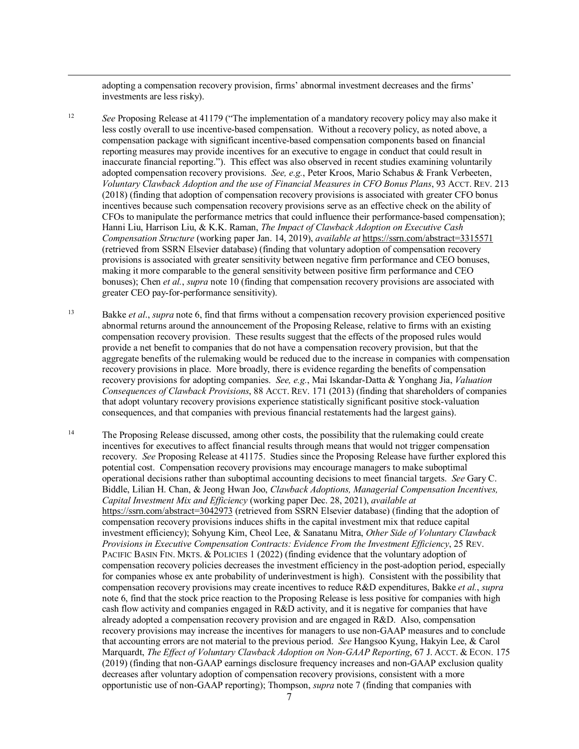adopting a compensation recovery provision, firms' abnormal investment decreases and the firms' investments are less risky).

<u>.</u>

<span id="page-6-0"></span><sup>12</sup> *See* Proposing Release at 41179 ("The implementation of a mandatory recovery policy may also make it less costly overall to use incentive-based compensation. Without a recovery policy, as noted above, a compensation package with significant incentive-based compensation components based on financial reporting measures may provide incentives for an executive to engage in conduct that could result in inaccurate financial reporting."). This effect was also observed in recent studies examining voluntarily adopted compensation recovery provisions. *See, e.g.*, Peter Kroos, Mario Schabus & Frank Verbeeten, *Voluntary Clawback Adoption and the use of Financial Measures in CFO Bonus Plans*, 93 ACCT. REV. 213 (2018) (finding that adoption of compensation recovery provisions is associated with greater CFO bonus incentives because such compensation recovery provisions serve as an effective check on the ability of CFOs to manipulate the performance metrics that could influence their performance-based compensation); Hanni Liu, Harrison Liu, & K.K. Raman, *The Impact of Clawback Adoption on Executive Cash Compensation Structure* (working paper Jan. 14, 2019), *available at* <https://ssrn.com/abstract=3315571> (retrieved from SSRN Elsevier database) (finding that voluntary adoption of compensation recovery provisions is associated with greater sensitivity between negative firm performance and CEO bonuses, making it more comparable to the general sensitivity between positive firm performance and CEO bonuses); Chen *et al.*, *supra* note 10 (finding that compensation recovery provisions are associated with greater CEO pay-for-performance sensitivity).

<span id="page-6-1"></span>13 Bakke *et al*., *supra* note 6, find that firms without a compensation recovery provision experienced positive abnormal returns around the announcement of the Proposing Release, relative to firms with an existing compensation recovery provision. These results suggest that the effects of the proposed rules would provide a net benefit to companies that do not have a compensation recovery provision, but that the aggregate benefits of the rulemaking would be reduced due to the increase in companies with compensation recovery provisions in place. More broadly, there is evidence regarding the benefits of compensation recovery provisions for adopting companies. *See, e.g.*, Mai Iskandar-Datta & Yonghang Jia, *Valuation Consequences of Clawback Provisions*, 88 ACCT. REV. 171 (2013) (finding that shareholders of companies that adopt voluntary recovery provisions experience statistically significant positive stock-valuation consequences, and that companies with previous financial restatements had the largest gains).

<span id="page-6-2"></span><sup>14</sup> The Proposing Release discussed, among other costs, the possibility that the rulemaking could create incentives for executives to affect financial results through means that would not trigger compensation recovery. *See* Proposing Release at 41175. Studies since the Proposing Release have further explored this potential cost. Compensation recovery provisions may encourage managers to make suboptimal operational decisions rather than suboptimal accounting decisions to meet financial targets. *See* Gary C. Biddle, Lilian H. Chan, & Jeong Hwan Joo, *Clawback Adoptions, Managerial Compensation Incentives, Capital Investment Mix and Efficiency* (working paper Dec. 28, 2021), *available at* <https://ssrn.com/abstract=3042973> (retrieved from SSRN Elsevier database) (finding that the adoption of compensation recovery provisions induces shifts in the capital investment mix that reduce capital investment efficiency); Sohyung Kim, Cheol Lee, & Sanatanu Mitra, *Other Side of Voluntary Clawback Provisions in Executive Compensation Contracts: Evidence From the Investment Efficiency*, 25 REV. PACIFIC BASIN FIN. MKTS. & POLICIES 1 (2022) (finding evidence that the voluntary adoption of compensation recovery policies decreases the investment efficiency in the post-adoption period, especially for companies whose ex ante probability of underinvestment is high). Consistent with the possibility that compensation recovery provisions may create incentives to reduce R&D expenditures, Bakke *et al.*, *supra* note 6, find that the stock price reaction to the Proposing Release is less positive for companies with high cash flow activity and companies engaged in R&D activity, and it is negative for companies that have already adopted a compensation recovery provision and are engaged in R&D. Also, compensation recovery provisions may increase the incentives for managers to use non-GAAP measures and to conclude that accounting errors are not material to the previous period. *See* Hangsoo Kyung, Hakyin Lee, & Carol Marquardt, *The Effect of Voluntary Clawback Adoption on Non-GAAP Reporting*, 67 J. ACCT. & ECON. 175 (2019) (finding that non-GAAP earnings disclosure frequency increases and non-GAAP exclusion quality decreases after voluntary adoption of compensation recovery provisions, consistent with a more opportunistic use of non-GAAP reporting); Thompson, *supra* note 7 (finding that companies with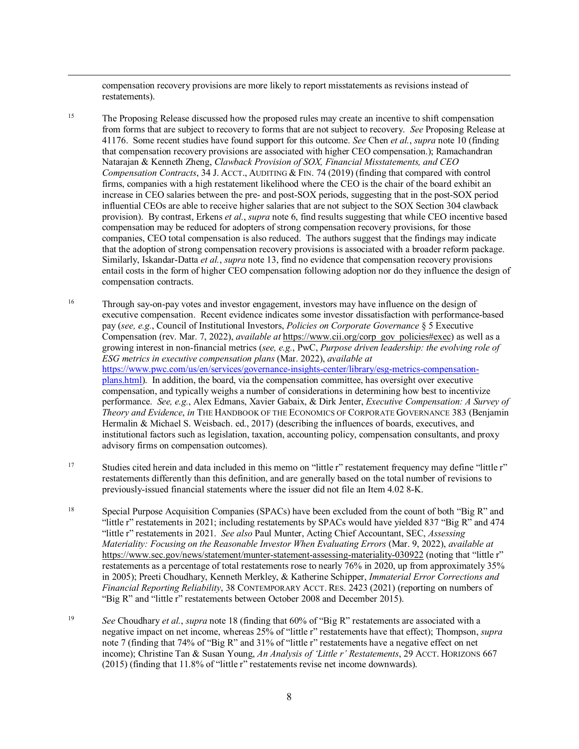compensation recovery provisions are more likely to report misstatements as revisions instead of restatements).

<u>.</u>

- <span id="page-7-0"></span><sup>15</sup> The Proposing Release discussed how the proposed rules may create an incentive to shift compensation from forms that are subject to recovery to forms that are not subject to recovery. *See* Proposing Release at 41176. Some recent studies have found support for this outcome. *See* Chen *et al.*, *supra* note 10 (finding that compensation recovery provisions are associated with higher CEO compensation.); Ramachandran Natarajan & Kenneth Zheng, *Clawback Provision of SOX, Financial Misstatements, and CEO Compensation Contracts*, 34 J. ACCT., AUDITING & FIN. 74 (2019) (finding that compared with control firms, companies with a high restatement likelihood where the CEO is the chair of the board exhibit an increase in CEO salaries between the pre- and post-SOX periods, suggesting that in the post-SOX period influential CEOs are able to receive higher salaries that are not subject to the SOX Section 304 clawback provision). By contrast, Erkens *et al.*, *supra* note 6, find results suggesting that while CEO incentive based compensation may be reduced for adopters of strong compensation recovery provisions, for those companies, CEO total compensation is also reduced. The authors suggest that the findings may indicate that the adoption of strong compensation recovery provisions is associated with a broader reform package. Similarly, Iskandar-Datta *et al.*, *supra* note 13, find no evidence that compensation recovery provisions entail costs in the form of higher CEO compensation following adoption nor do they influence the design of compensation contracts.
- <span id="page-7-1"></span><sup>16</sup> Through say-on-pay votes and investor engagement, investors may have influence on the design of executive compensation. Recent evidence indicates some investor dissatisfaction with performance-based pay (*see, e.g.*, Council of Institutional Investors, *Policies on Corporate Governance* § 5 Executive Compensation (rev. Mar. 7, 2022), *available at* [https://www.cii.org/corp\\_gov\\_policies#exec\)](https://www.cii.org/corp_gov_policies#exec) as well as a growing interest in non-financial metrics (*see, e.g.*, PwC, *Purpose driven leadership: the evolving role of ESG metrics in executive compensation plans* (Mar. 2022), *available at*  [https://www.pwc.com/us/en/services/governance-insights-center/library/esg-metrics-compensation](https://www.pwc.com/us/en/services/governance-insights-center/library/esg-metrics-compensation-plans.html)[plans.html\)](https://www.pwc.com/us/en/services/governance-insights-center/library/esg-metrics-compensation-plans.html). In addition, the board, via the compensation committee, has oversight over executive compensation, and typically weighs a number of considerations in determining how best to incentivize performance. *See, e.g.*, Alex Edmans, Xavier Gabaix, & Dirk Jenter, *Executive Compensation: A Survey of Theory and Evidence*, *in* THE HANDBOOK OF THE ECONOMICS OF CORPORATE GOVERNANCE 383 (Benjamin Hermalin & Michael S. Weisbach. ed., 2017) (describing the influences of boards, executives, and institutional factors such as legislation, taxation, accounting policy, compensation consultants, and proxy advisory firms on compensation outcomes).
- <span id="page-7-2"></span><sup>17</sup> Studies cited herein and data included in this memo on "little r" restatement frequency may define "little r" restatements differently than this definition, and are generally based on the total number of revisions to previously-issued financial statements where the issuer did not file an Item 4.02 8-K.
- <span id="page-7-3"></span>18 Special Purpose Acquisition Companies (SPACs) have been excluded from the count of both "Big R" and "little r" restatements in 2021; including restatements by SPACs would have yielded 837 "Big R" and 474 "little r" restatements in 2021. *See also* Paul Munter, Acting Chief Accountant, SEC, *Assessing Materiality: Focusing on the Reasonable Investor When Evaluating Errors* (Mar. 9, 2022), *available at*  <https://www.sec.gov/news/statement/munter-statement-assessing-materiality-030922> (noting that "little r" restatements as a percentage of total restatements rose to nearly 76% in 2020, up from approximately 35% in 2005); Preeti Choudhary, Kenneth Merkley, & Katherine Schipper, *Immaterial Error Corrections and Financial Reporting Reliability*, 38 CONTEMPORARY ACCT. RES. 2423 (2021) (reporting on numbers of "Big R" and "little r" restatements between October 2008 and December 2015).
- <span id="page-7-4"></span>19 *See* Choudhary *et al.*, *supra* note 18 (finding that 60% of "Big R" restatements are associated with a negative impact on net income, whereas 25% of "little r" restatements have that effect); Thompson, *supra* note 7 (finding that 74% of "Big R" and 31% of "little r" restatements have a negative effect on net income); Christine Tan & Susan Young, *An Analysis of 'Little r' Restatements*, 29 ACCT. HORIZONS 667 (2015) (finding that 11.8% of "little r" restatements revise net income downwards).